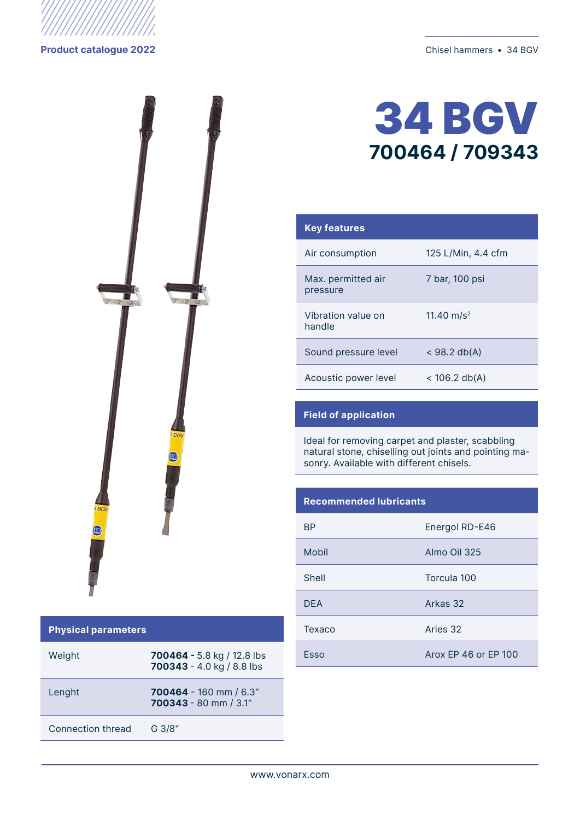



#### **Physical parameters**

| Weight            | 700464 - 5.8 kg / 12.8 lbs<br>700343 - 4.0 kg / 8.8 lbs |
|-------------------|---------------------------------------------------------|
| Lenght            | $700464 - 160$ mm $/ 6.3"$<br>700343 - 80 mm / 3.1"     |
| Connection thread | G 3/8"                                                  |

# 34 BGV **700464 / 709343**

| <b>Key features</b>            |                        |
|--------------------------------|------------------------|
| Air consumption                | 125 L/Min, 4.4 cfm     |
| Max. permitted air<br>pressure | 7 bar, 100 psi         |
| Vibration value on<br>handle   | 11.40 m/s <sup>2</sup> |
| Sound pressure level           | $<$ 98.2 db(A)         |
| Acoustic power level           | $<$ 106.2 db(A)        |

## **Field of application**

Ideal for removing carpet and plaster, scabbling natural stone, chiselling out joints and pointing masonry. Available with different chisels.

### **Recommended lubricants**

| ВP         | Energol RD-E46       |
|------------|----------------------|
| Mobil      | Almo Oil 325         |
| Shell      | Torcula 100          |
| <b>DFA</b> | Arkas 32             |
| Texaco     | Aries 32             |
| Esso       | Arox FP 46 or FP 100 |